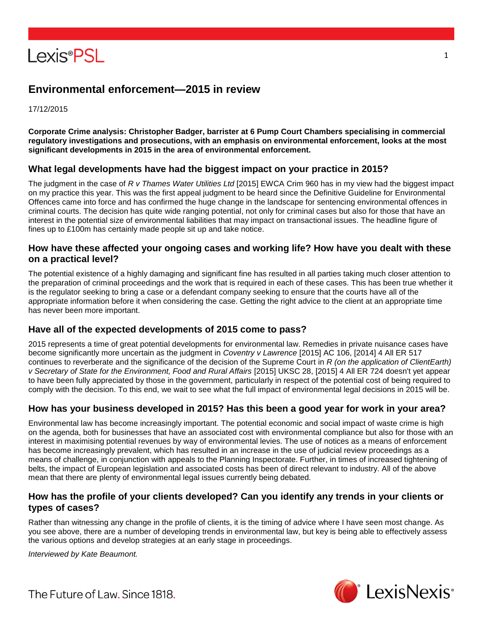

# **Environmental enforcement—2015 in review**

17/12/2015

**Corporate Crime analysis: Christopher Badger, barrister at 6 Pump Court Chambers specialising in commercial regulatory investigations and prosecutions, with an emphasis on environmental enforcement, looks at the most significant developments in 2015 in the area of environmental enforcement.**

### **What legal developments have had the biggest impact on your practice in 2015?**

The judgment in the case of *R v Thames Water Utilities Ltd* [2015] EWCA Crim 960 has in my view had the biggest impact on my practice this year. This was the first appeal judgment to be heard since the Definitive Guideline for Environmental Offences came into force and has confirmed the huge change in the landscape for sentencing environmental offences in criminal courts. The decision has quite wide ranging potential, not only for criminal cases but also for those that have an interest in the potential size of environmental liabilities that may impact on transactional issues. The headline figure of fines up to £100m has certainly made people sit up and take notice.

#### **How have these affected your ongoing cases and working life? How have you dealt with these on a practical level?**

The potential existence of a highly damaging and significant fine has resulted in all parties taking much closer attention to the preparation of criminal proceedings and the work that is required in each of these cases. This has been true whether it is the regulator seeking to bring a case or a defendant company seeking to ensure that the courts have all of the appropriate information before it when considering the case. Getting the right advice to the client at an appropriate time has never been more important.

# **Have all of the expected developments of 2015 come to pass?**

2015 represents a time of great potential developments for environmental law. Remedies in private nuisance cases have become significantly more uncertain as the judgment in *Coventry v Lawrence* [2015] AC 106, [2014] 4 All ER 517 continues to reverberate and the significance of the decision of the Supreme Court in *R (on the application of ClientEarth) v Secretary of State for the Environment, Food and Rural Affairs* [2015] UKSC 28, [2015] 4 All ER 724 doesn't yet appear to have been fully appreciated by those in the government, particularly in respect of the potential cost of being required to comply with the decision. To this end, we wait to see what the full impact of environmental legal decisions in 2015 will be.

# **How has your business developed in 2015? Has this been a good year for work in your area?**

Environmental law has become increasingly important. The potential economic and social impact of waste crime is high on the agenda, both for businesses that have an associated cost with environmental compliance but also for those with an interest in maximising potential revenues by way of environmental levies. The use of notices as a means of enforcement has become increasingly prevalent, which has resulted in an increase in the use of judicial review proceedings as a means of challenge, in conjunction with appeals to the Planning Inspectorate. Further, in times of increased tightening of belts, the impact of European legislation and associated costs has been of direct relevant to industry. All of the above mean that there are plenty of environmental legal issues currently being debated.

### **How has the profile of your clients developed? Can you identify any trends in your clients or types of cases?**

Rather than witnessing any change in the profile of clients, it is the timing of advice where I have seen most change. As you see above, there are a number of developing trends in environmental law, but key is being able to effectively assess the various options and develop strategies at an early stage in proceedings.

*Interviewed by Kate Beaumont.*



The Future of Law, Since 1818.